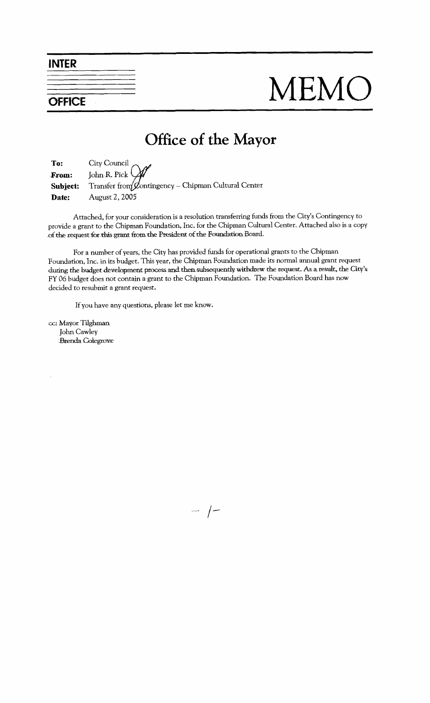**INTER** 



## MEMO

## Office of the Mayor

To: City Council John R. Pick From: Transfer from  $\cancel{\mathcal{Q}}$ ontingency – Chipman Cultural Center Subject: Date: August 2, 2005

Attached, for your consideration is a resolution transferring funds from the City's Contingency to provide a grant to the Chipman Foundation, Inc. for the Chipman Cultural Center. Attached also is a copy of the request for this grant from the President of the Foundation Board.

For a number of years, the City has provided funds for operational grants to the Chipman Foundation, Inc. in its budget. This year, the Chipman Foundation made its normal annual grant request during the budget development process and then subsequently withdrew the request. As a result, the City's FY 06 budget does not contain a grant to the Chipman Foundation. The Foundation Board has now decided to resubmit a grant request.

If you have any questions, please let me know.

cc: Mayor Tilghman John Cawley **Brenda** Colegrove

 $\overline{\phantom{a}}$  /-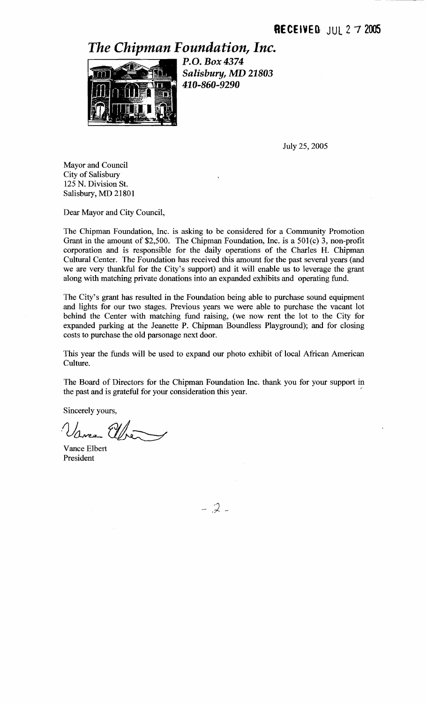*The Chipman Foundation, Inc.* 



P.O. Box 4374 Salisbury, MD 21803 410-860-9290

July 25,2005

Mayor and Council City of Salisbury 125 N. Division St. Salisbury, MD 21801

Dear Mayor and City Council,

The Chipman Foundation, Inc. is asking to be considered for a Community Promotion Grant in the amount of \$2,500. The Chipman Foundation, Inc. is a 501(c) **3,** non-profit corporation and is responsible for the daily operations of the Charles H. Chipman Cultural Center. The Foundation has received this amount for the past several years (and we are very thankful for the City's support) and it will enable us to leverage the grant along with matching private donations into an expanded exhibits and operating fund.

The City's grant has resulted in the Foundation being able to purchase sound equipment and lights for our two stages. Previous years we were able to purchase the vacant lot behind the Center with matching fund raising, (we now rent the lot to the City for expanded parking at the Jeanette P. Chipman Boundless Playground); and for closing costs to purchase the old parsonage next door.

This year the funds will be used to expand our photo exhibit of local African American Culture.

The Board of Directors for the Chipman Foundation Inc. thank you for your support in The Board of Directors for the Chipman Foundation Inc. thank you for your support in the past and is grateful for your consideration this year.

Sincerely yours,

 $\frac{1}{2}$ 

Vance Elbert President

 $-2-$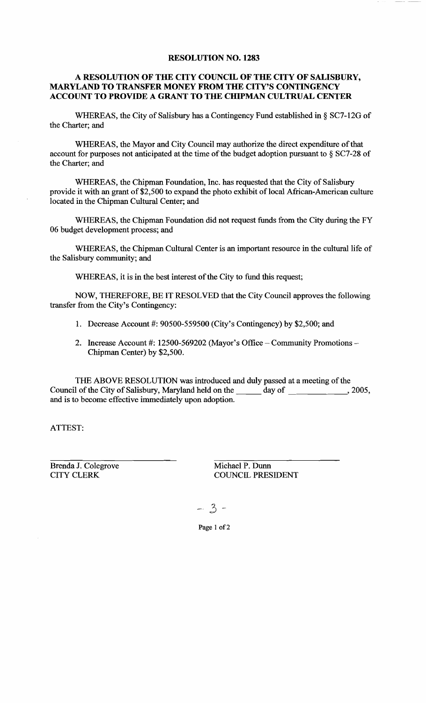## **RESOLUTION NO. 1283**

## **A RESOLUTION OF THE CITY COUNCIL OF THE CITY OF SALISBURY, MARYLAND TO TRANSFER MONEY FROM THE CITY'S CONTINGENCY ACCOUNT TO PROVIDE A GRANT TO THE CHIPMAN CULTRUAL CENTER**

WHEREAS, the City of Salisbury has a Contingency Fund established in § SC7-12G of the Charter; and

WHEREAS, the Mayor and City Council may authorize the direct expenditure of that account for purposes not anticipated at the time of the budget adoption pursuant to § SC7-28 of the Charter; and

WHEREAS, the Chipman Foundation, Inc. has requested that the City of Salisbury provide it with an grant of \$2,500 to expand the photo exhibit of local African-American culture located in the Chipman Cultural Center; and

WHEREAS, the Chipman Foundation did not request funds from the City during the FY 06 budget development process; and

WHEREAS, the Chipman Cultural Center is an important resource in the cultural life of the Salisbury community; and

WHEREAS, it is in the best interest of the City to fund this request;

NOW, THEREFORE, BE IT RESOLVED that the City Council approves the following transfer ffom the City's Contingency:

- 1. Decrease Account #: 90500-559500 (City's Contingency) by \$2,500; and
- 2. Increase Account #: 12500-569202 (Mayor's Office Community Promotions Chipman Center) by \$2,500.

THE ABOVE RESOLUTION was introduced and duly passed at a meeting of the Council of the City of Salisbury, Maryland held on the day of ,2005, and is to become effective immediately upon adoption.

ATTEST:

Brenda J. Colegrove Michael P. Dunn<br>CITY CLERK COUNCIL PRES

COUNCIL PRESIDENT

 $-3-$ 

**Page** 1 **of** 2